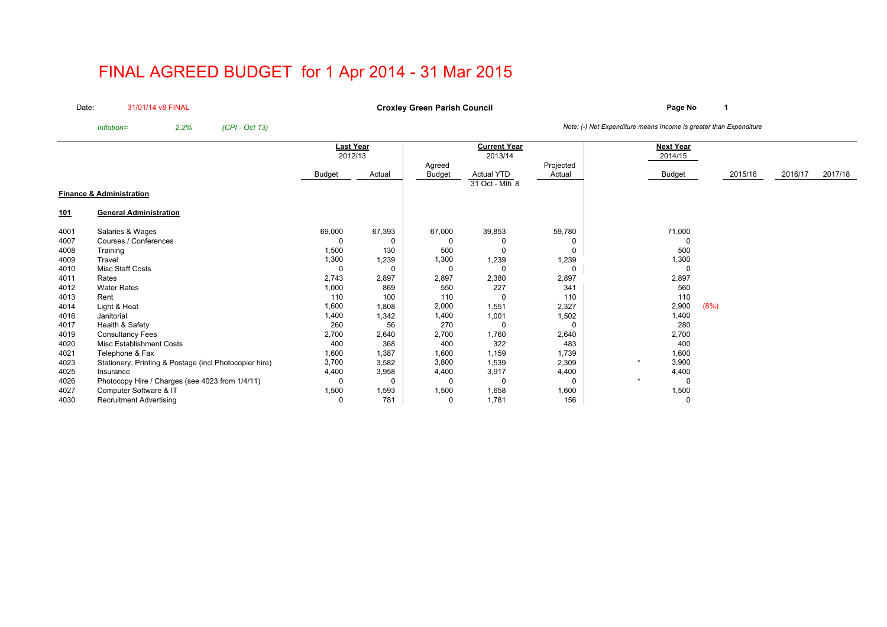# FINAL AGREED BUDGET for 1 Apr 2014 - 31 Mar 2015

Date:31/01/14 v8 FINAL

**Page No <sup>1</sup> Croxley Green Parish Council**

*Inflation= 2.2% (CPI - Oct 13) Note: (-) Net Expenditure means Income is greater than Expenditure*

|            |                                                        |               | <b>Last Year</b> |               | <b>Current Year</b> |           | <b>Next Year</b> |      |         |         |         |
|------------|--------------------------------------------------------|---------------|------------------|---------------|---------------------|-----------|------------------|------|---------|---------|---------|
|            |                                                        | 2012/13       |                  |               | 2013/14             |           | 2014/15          |      |         |         |         |
|            |                                                        |               |                  | Agreed        |                     | Projected |                  |      |         |         |         |
|            |                                                        | <b>Budget</b> | Actual           | <b>Budget</b> | <b>Actual YTD</b>   | Actual    | <b>Budget</b>    |      | 2015/16 | 2016/17 | 2017/18 |
|            |                                                        |               |                  |               | 31 Oct - Mth 8      |           |                  |      |         |         |         |
|            | <b>Finance &amp; Administration</b>                    |               |                  |               |                     |           |                  |      |         |         |         |
| <u>101</u> | <b>General Administration</b>                          |               |                  |               |                     |           |                  |      |         |         |         |
| 4001       | Salaries & Wages                                       | 69,000        | 67,393           | 67,000        | 39,853              | 59,780    | 71,000           |      |         |         |         |
| 4007       | Courses / Conferences                                  | 0             | 0                | 0             |                     | 0         |                  |      |         |         |         |
| 4008       | Training                                               | 1,500         | 130              | 500           |                     | 0         | 500              |      |         |         |         |
| 4009       | Travel                                                 | 1,300         | 1,239            | 1,300         | 1,239               | 1,239     | 1,300            |      |         |         |         |
| 4010       | <b>Misc Staff Costs</b>                                | 0             | $\Omega$         | $\Omega$      | - 0                 | 0         |                  |      |         |         |         |
| 4011       | Rates                                                  | 2,743         | 2,897            | 2,897         | 2,380               | 2,897     | 2,897            |      |         |         |         |
| 4012       | <b>Water Rates</b>                                     | 1,000         | 869              | 550           | 227                 | 341       | 560              |      |         |         |         |
| 4013       | Rent                                                   | 110           | 100              | 110           | -C                  | 110       | 110              |      |         |         |         |
| 4014       | Light & Heat                                           | 1,600         | 1,808            | 2,000         | 1,551               | 2,327     | 2,900            | (8%) |         |         |         |
| 4016       | Janitorial                                             | 1,400         | 1,342            | 1,400         | 1,001               | 1,502     | 1,400            |      |         |         |         |
| 4017       | Health & Safety                                        | 260           | 56               | 270           | 0                   | 0         | 280              |      |         |         |         |
| 4019       | <b>Consultancy Fees</b>                                | 2,700         | 2,640            | 2,700         | 1,760               | 2,640     | 2,700            |      |         |         |         |
| 4020       | <b>Misc Establishment Costs</b>                        | 400           | 368              | 400           | 322                 | 483       | 400              |      |         |         |         |
| 4021       | Telephone & Fax                                        | 1,600         | 1,387            | 1,600         | 1,159               | 1,739     | 1,600            |      |         |         |         |
| 4023       | Stationery, Printing & Postage (incl Photocopier hire) | 3,700         | 3,582            | 3,800         | 1,539               | 2,309     | 3,900            |      |         |         |         |
| 4025       | Insurance                                              | 4,400         | 3,958            | 4,400         | 3,917               | 4,400     | 4,400            |      |         |         |         |
| 4026       | Photocopy Hire / Charges (see 4023 from 1/4/11)        | 0             | 0                | $\Omega$      | 0                   | 0         |                  |      |         |         |         |
| 4027       | Computer Software & IT                                 | 1,500         | 1,593            | 1,500         | 1,658               | 1,600     | 1,500            |      |         |         |         |
| 4030       | <b>Recruitment Advertising</b>                         | 0             | 781              | 0             | 1,781               | 156       |                  |      |         |         |         |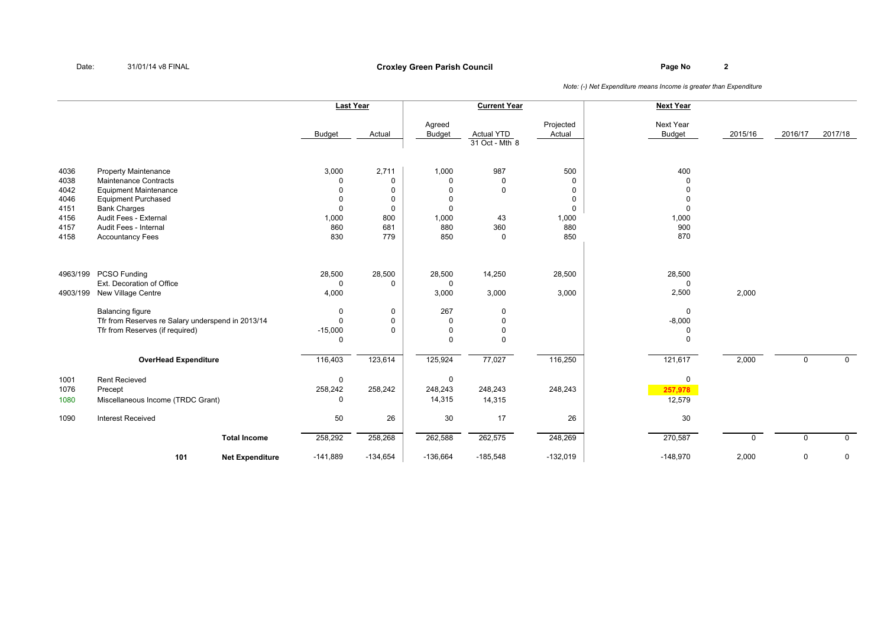### **Page No <sup>2</sup> Croxley Green Parish Council**

|                                                              |                                                                                                                                                                                                                        |                        | <b>Last Year</b>                                                                   |                                                                         |                                                                                 | <b>Current Year</b>                                           |                                                                                        | <b>Next Year</b>                                                              |             |             |              |
|--------------------------------------------------------------|------------------------------------------------------------------------------------------------------------------------------------------------------------------------------------------------------------------------|------------------------|------------------------------------------------------------------------------------|-------------------------------------------------------------------------|---------------------------------------------------------------------------------|---------------------------------------------------------------|----------------------------------------------------------------------------------------|-------------------------------------------------------------------------------|-------------|-------------|--------------|
|                                                              |                                                                                                                                                                                                                        |                        | <b>Budget</b>                                                                      | Actual                                                                  | Agreed<br><b>Budget</b>                                                         | <b>Actual YTD</b><br>$\overline{31}$ Oct - Mth 8              | Projected<br>Actual                                                                    | Next Year<br><b>Budget</b>                                                    | 2015/16     | 2016/17     | 2017/18      |
| 4036<br>4038<br>4042<br>4046<br>4151<br>4156<br>4157<br>4158 | <b>Property Maintenance</b><br>Maintenance Contracts<br><b>Equipment Maintenance</b><br><b>Equipment Purchased</b><br><b>Bank Charges</b><br>Audit Fees - External<br>Audit Fees - Internal<br><b>Accountancy Fees</b> |                        | 3,000<br>$\Omega$<br>$\Omega$<br>$\mathbf 0$<br>$\mathbf 0$<br>1,000<br>860<br>830 | 2,711<br>0<br>$\Omega$<br>$\pmb{0}$<br>$\mathbf 0$<br>800<br>681<br>779 | 1,000<br>$\Omega$<br>$\Omega$<br>$\mathbf 0$<br>$\Omega$<br>1,000<br>880<br>850 | 987<br>$\mathbf 0$<br>$\mathbf 0$<br>43<br>360<br>$\mathbf 0$ | 500<br>$\mathbf 0$<br>$\mathbf 0$<br>$\mathbf 0$<br>$\mathbf 0$<br>1,000<br>880<br>850 | 400<br>$\Omega$<br>$\Omega$<br>$\mathbf 0$<br>$\Omega$<br>1,000<br>900<br>870 |             |             |              |
| 4963/199<br>4903/199                                         | PCSO Funding<br>Ext. Decoration of Office<br>New Village Centre                                                                                                                                                        |                        | 28,500<br>$\mathbf 0$<br>4,000                                                     | 28,500<br>$\mathbf 0$                                                   | 28,500<br>$\mathbf 0$<br>3,000                                                  | 14,250<br>3,000                                               | 28,500<br>3,000                                                                        | 28,500<br>$\mathbf 0$<br>2,500                                                | 2,000       |             |              |
|                                                              | <b>Balancing figure</b><br>Tfr from Reserves re Salary underspend in 2013/14<br>Tfr from Reserves (if required)                                                                                                        |                        | 0<br>$\Omega$<br>$-15,000$<br>$\Omega$                                             | 0<br>$\pmb{0}$<br>$\Omega$                                              | 267<br>$\Omega$<br>$\mathbf 0$<br>$\Omega$                                      | $\mathbf 0$<br>$\Omega$<br>0<br>$\Omega$                      |                                                                                        | $\mathbf 0$<br>$-8,000$<br>0<br>$\Omega$                                      |             |             |              |
|                                                              | <b>OverHead Expenditure</b>                                                                                                                                                                                            |                        | 116,403                                                                            | 123,614                                                                 | 125,924                                                                         | 77,027                                                        | 116,250                                                                                | 121,617                                                                       | 2,000       | 0           | $\mathbf 0$  |
| 1001<br>1076<br>1080                                         | <b>Rent Recieved</b><br>Precept<br>Miscellaneous Income (TRDC Grant)                                                                                                                                                   |                        | $\pmb{0}$<br>258,242<br>0                                                          | 258,242                                                                 | $\mathbf 0$<br>248,243<br>14,315                                                | 248,243<br>14,315                                             | 248,243                                                                                | $\mathbf 0$<br>257,978<br>12,579                                              |             |             |              |
| 1090                                                         | <b>Interest Received</b>                                                                                                                                                                                               |                        | 50                                                                                 | 26                                                                      | 30                                                                              | 17                                                            | 26                                                                                     | 30                                                                            |             |             |              |
|                                                              |                                                                                                                                                                                                                        | <b>Total Income</b>    | 258,292                                                                            | 258,268                                                                 | 262,588                                                                         | 262,575                                                       | 248,269                                                                                | 270,587                                                                       | $\mathbf 0$ | $\mathbf 0$ | $\mathsf{O}$ |
|                                                              | 101                                                                                                                                                                                                                    | <b>Net Expenditure</b> | $-141,889$                                                                         | $-134,654$                                                              | $-136,664$                                                                      | $-185,548$                                                    | $-132,019$                                                                             | $-148,970$                                                                    | 2,000       | 0           | 0            |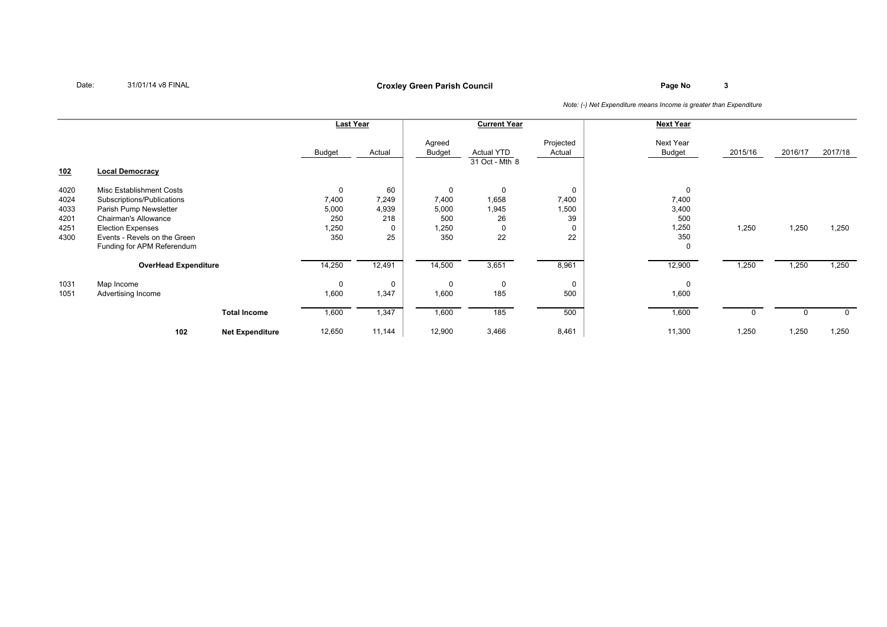## **Page No <sup>3</sup> Croxley Green Parish Council**

|            |                              |                        | Last Year |          |                         | <b>Current Year</b>                 |                     | <b>Next Year</b>    |         |         |          |
|------------|------------------------------|------------------------|-----------|----------|-------------------------|-------------------------------------|---------------------|---------------------|---------|---------|----------|
| <u>102</u> | <b>Local Democracy</b>       |                        | Budget    | Actual   | Agreed<br><b>Budget</b> | <b>Actual YTD</b><br>31 Oct - Mth 8 | Projected<br>Actual | Next Year<br>Budget | 2015/16 | 2016/17 | 2017/18  |
|            |                              |                        |           |          |                         |                                     |                     |                     |         |         |          |
| 4020       | Misc Establishment Costs     |                        | 0         | 60       | $\mathbf 0$             | $\mathbf 0$                         |                     | $\mathbf 0$         |         |         |          |
| 4024       | Subscriptions/Publications   |                        | 7,400     | 7,249    | 7,400                   | 1,658                               | 7,400               | 7,400               |         |         |          |
| 4033       | Parish Pump Newsletter       |                        | 5,000     | 4,939    | 5,000                   | 1,945                               | 1,500               | 3,400               |         |         |          |
| 4201       | <b>Chairman's Allowance</b>  |                        | 250       | 218      | 500                     | 26                                  | 39                  | 500                 |         |         |          |
| 4251       | <b>Election Expenses</b>     |                        | 1,250     |          | 1,250                   | 0                                   |                     | 1,250               | 1,250   | 1,250   | 1,250    |
| 4300       | Events - Revels on the Green |                        | 350       | 25       | 350                     | 22                                  | 22                  | 350                 |         |         |          |
|            | Funding for APM Referendum   |                        |           |          |                         |                                     |                     | $\mathbf 0$         |         |         |          |
|            | <b>OverHead Expenditure</b>  |                        | 14,250    | 12,491   | 14,500                  | 3,651                               | 8,961               | 12,900              | 1,250   | 1,250   | 1,250    |
| 1031       | Map Income                   |                        | 0         | $\Omega$ | 0                       | $\mathbf 0$                         | $\Omega$            | $\Omega$            |         |         |          |
| 1051       | Advertising Income           |                        | 1,600     | 1,347    | 1,600                   | 185                                 | 500                 | 1,600               |         |         |          |
|            |                              | <b>Total Income</b>    | 1,600     | 1,347    | 1,600                   | 185                                 | 500                 | 1,600               | 0       |         | $\Omega$ |
|            | 102                          | <b>Net Expenditure</b> | 12,650    | 11,144   | 12,900                  | 3,466                               | 8,461               | 11,300              | 1,250   | 1,250   | 1,250    |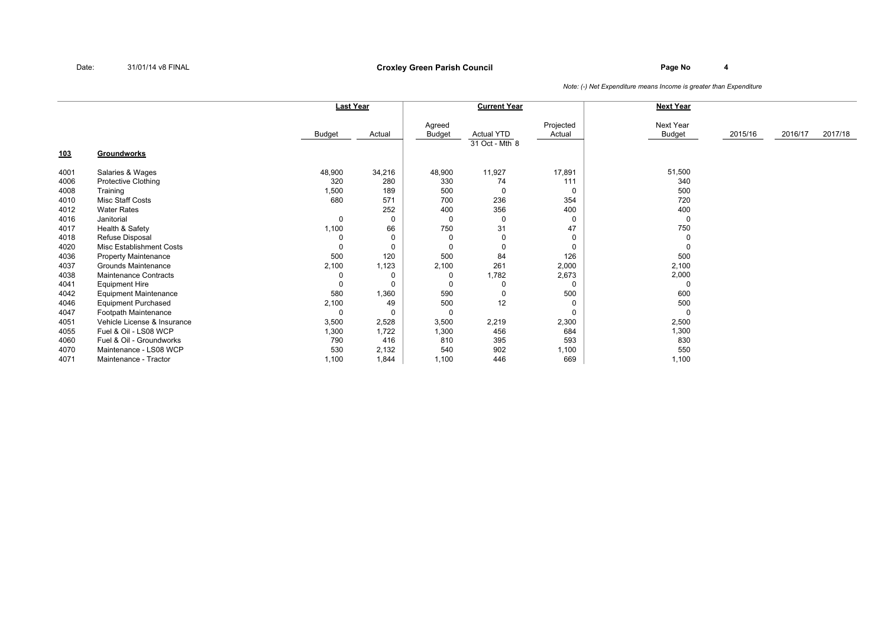### **Page No <sup>4</sup> Croxley Green Parish Council**

|            |                              |               | Last Year |                         | <b>Current Year</b>                 |                     | <b>Next Year</b>           |         |         |         |
|------------|------------------------------|---------------|-----------|-------------------------|-------------------------------------|---------------------|----------------------------|---------|---------|---------|
|            |                              | <b>Budget</b> | Actual    | Agreed<br><b>Budget</b> | <b>Actual YTD</b><br>31 Oct - Mth 8 | Projected<br>Actual | Next Year<br><b>Budget</b> | 2015/16 | 2016/17 | 2017/18 |
| <u>103</u> | Groundworks                  |               |           |                         |                                     |                     |                            |         |         |         |
| 4001       | Salaries & Wages             | 48,900        | 34,216    | 48,900                  | 11,927                              | 17,891              | 51,500                     |         |         |         |
| 4006       | <b>Protective Clothing</b>   | 320           | 280       | 330                     | 74                                  | 111                 | 340                        |         |         |         |
| 4008       | Training                     | 1,500         | 189       | 500                     | $\Omega$                            | 0                   | 500                        |         |         |         |
| 4010       | Misc Staff Costs             | 680           | 571       | 700                     | 236                                 | 354                 | 720                        |         |         |         |
| 4012       | <b>Water Rates</b>           |               | 252       | 400                     | 356                                 | 400                 | 400                        |         |         |         |
| 4016       | Janitorial                   | $\mathbf 0$   | 0         | $\Omega$                | 0                                   | 0                   |                            |         |         |         |
| 4017       | Health & Safety              | 1,100         | 66        | 750                     | 31                                  | 47                  | 750                        |         |         |         |
| 4018       | Refuse Disposal              | 0             | $\Omega$  | $\Omega$                |                                     | 0                   |                            |         |         |         |
| 4020       | Misc Establishment Costs     | 0             | $\Omega$  | $\Omega$                |                                     | 0                   |                            |         |         |         |
| 4036       | <b>Property Maintenance</b>  | 500           | 120       | 500                     | 84                                  | 126                 | 500                        |         |         |         |
| 4037       | <b>Grounds Maintenance</b>   | 2,100         | 1,123     | 2,100                   | 261                                 | 2,000               | 2,100                      |         |         |         |
| 4038       | <b>Maintenance Contracts</b> | 0             | 0         | 0                       | 1,782                               | 2,673               | 2,000                      |         |         |         |
| 4041       | <b>Equipment Hire</b>        | $\mathbf 0$   | $\Omega$  | $\Omega$                |                                     | $\mathbf 0$         |                            |         |         |         |
| 4042       | <b>Equipment Maintenance</b> | 580           | 1,360     | 590                     |                                     | 500                 | 600                        |         |         |         |
| 4046       | <b>Equipment Purchased</b>   | 2,100         | 49        | 500                     | 12                                  | $\mathbf 0$         | 500                        |         |         |         |
| 4047       | Footpath Maintenance         | 0             | 0         | 0                       |                                     | $\mathbf 0$         |                            |         |         |         |
| 4051       | Vehicle License & Insurance  | 3,500         | 2,528     | 3,500                   | 2,219                               | 2,300               | 2,500                      |         |         |         |
| 4055       | Fuel & Oil - LS08 WCP        | 1,300         | 1,722     | 1,300                   | 456                                 | 684                 | 1,300                      |         |         |         |
| 4060       | Fuel & Oil - Groundworks     | 790           | 416       | 810                     | 395                                 | 593                 | 830                        |         |         |         |
| 4070       | Maintenance - LS08 WCP       | 530           | 2,132     | 540                     | 902                                 | 1,100               | 550                        |         |         |         |
| 4071       | Maintenance - Tractor        | 1,100         | 1,844     | 1,100                   | 446                                 | 669                 | 1,100                      |         |         |         |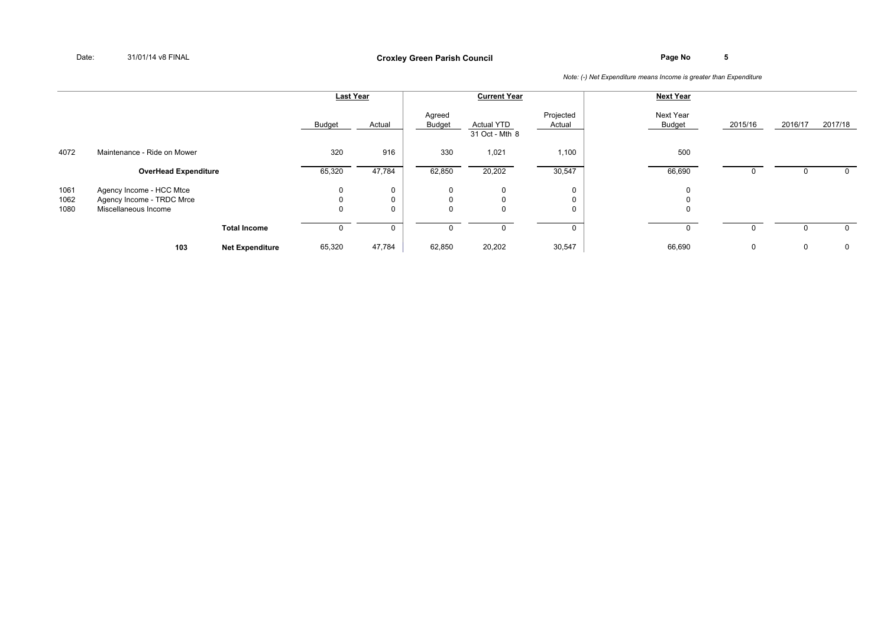|                      |                                                                               |                        | <b>Last Year</b>                             |             |                                     | <b>Current Year</b>                 |                     | <b>Next Year</b>           |         |         |              |
|----------------------|-------------------------------------------------------------------------------|------------------------|----------------------------------------------|-------------|-------------------------------------|-------------------------------------|---------------------|----------------------------|---------|---------|--------------|
|                      |                                                                               |                        | <b>Budget</b>                                | Actual      | Agreed<br><b>Budget</b>             | <b>Actual YTD</b><br>31 Oct - Mth 8 | Projected<br>Actual | Next Year<br><b>Budget</b> | 2015/16 | 2016/17 | 2017/18      |
| 4072                 | Maintenance - Ride on Mower                                                   |                        | 320                                          | 916         | 330                                 | 1,021                               | 1,100               | 500                        |         |         |              |
|                      | <b>OverHead Expenditure</b>                                                   |                        | 65,320                                       | 47,784      | 62,850                              | 20,202                              | 30,547              | 66,690                     |         |         |              |
| 1061<br>1062<br>1080 | Agency Income - HCC Mtce<br>Agency Income - TRDC Mrce<br>Miscellaneous Income |                        | $\mathbf 0$<br>$\overline{0}$<br>$\mathbf 0$ | 0<br>0<br>0 | $\mathbf 0$<br>$\Omega$<br>$\Omega$ | 0<br>$\Omega$<br>$\Omega$           | 0<br>$\Omega$<br>0  | 0<br>$\Omega$<br>$\Omega$  |         |         |              |
|                      |                                                                               | <b>Total Income</b>    | $\Omega$                                     | 0           |                                     | 0                                   |                     | $\mathbf{0}$               |         |         | $\Omega$     |
|                      | 103                                                                           | <b>Net Expenditure</b> | 65,320                                       | 47,784      | 62,850                              | 20,202                              | 30,547              | 66,690                     | 0       | 0       | $\mathbf{0}$ |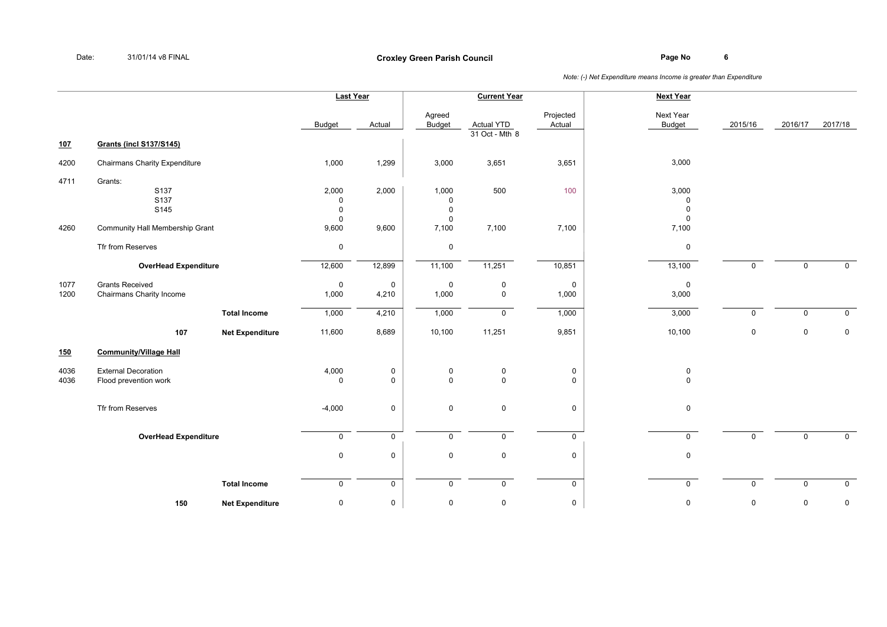|              |                                                     |                        | <b>Last Year</b>                                   |                            |                                                    | <b>Current Year</b>                 |                            | <b>Next Year</b>                                   |             |              |                |
|--------------|-----------------------------------------------------|------------------------|----------------------------------------------------|----------------------------|----------------------------------------------------|-------------------------------------|----------------------------|----------------------------------------------------|-------------|--------------|----------------|
|              |                                                     |                        | <b>Budget</b>                                      | Actual                     | Agreed<br>Budget                                   | <b>Actual YTD</b><br>31 Oct - Mth 8 | Projected<br>Actual        | Next Year<br><b>Budget</b>                         | 2015/16     | 2016/17      | 2017/18        |
| <u>107</u>   | <b>Grants (incl S137/S145)</b>                      |                        |                                                    |                            |                                                    |                                     |                            |                                                    |             |              |                |
| 4200         | <b>Chairmans Charity Expenditure</b>                |                        | 1,000                                              | 1,299                      | 3,000                                              | 3,651                               | 3,651                      | 3,000                                              |             |              |                |
| 4711         | Grants:<br>S137<br>S137<br>S145                     |                        | 2,000<br>$\mathbf 0$<br>$\mathbf 0$<br>$\mathbf 0$ | 2,000                      | 1,000<br>$\mathsf 0$<br>$\mathsf 0$<br>$\mathbf 0$ | 500                                 | 100                        | 3,000<br>$\mathbf 0$<br>$\mathsf 0$<br>$\mathbf 0$ |             |              |                |
| 4260         | Community Hall Membership Grant                     |                        | 9,600                                              | 9,600                      | 7,100                                              | 7,100                               | 7,100                      | 7,100                                              |             |              |                |
|              | Tfr from Reserves                                   |                        | $\mathbf 0$                                        |                            | $\mathbf 0$                                        |                                     |                            | 0                                                  |             |              |                |
|              | <b>OverHead Expenditure</b>                         |                        | 12,600                                             | 12,899                     | 11,100                                             | 11,251                              | 10,851                     | 13,100                                             | $\mathbf 0$ | $\mathbf{0}$ | $\mathbf 0$    |
| 1077<br>1200 | <b>Grants Received</b><br>Chairmans Charity Income  |                        | $\mathsf 0$<br>1,000                               | $\mathsf 0$<br>4,210       | $\mathsf 0$<br>1,000                               | $\pmb{0}$<br>$\mathbf 0$            | $\mathbf 0$<br>1,000       | $\mathsf 0$<br>3,000                               |             |              |                |
|              |                                                     | <b>Total Income</b>    | 1,000                                              | 4,210                      | 1,000                                              | $\overline{0}$                      | 1,000                      | 3,000                                              | $\mathbf 0$ | $\mathbf 0$  | $\mathbf 0$    |
|              | 107                                                 | <b>Net Expenditure</b> | 11,600                                             | 8,689                      | 10,100                                             | 11,251                              | 9,851                      | 10,100                                             | $\mathbf 0$ | $\mathbf 0$  | $\mathsf 0$    |
| 150          | <b>Community/Village Hall</b>                       |                        |                                                    |                            |                                                    |                                     |                            |                                                    |             |              |                |
| 4036<br>4036 | <b>External Decoration</b><br>Flood prevention work |                        | 4,000<br>$\mathbf 0$                               | $\mathbf 0$<br>$\mathbf 0$ | $\mathbf 0$<br>$\mathbf 0$                         | $\mathsf 0$<br>$\mathsf 0$          | $\mathsf 0$<br>$\mathbf 0$ | 0<br>$\mathbf 0$                                   |             |              |                |
|              | Tfr from Reserves                                   |                        | $-4,000$                                           | $\mathbf 0$                | $\mathbf 0$                                        | $\mathsf{O}$                        | $\mathbf 0$                | 0                                                  |             |              |                |
|              | <b>OverHead Expenditure</b>                         |                        | $\mathbf 0$                                        | $\mathbf 0$                | $\mathbf 0$                                        | $\mathbf{0}$                        | $\mathbf{0}$               | $\mathbf 0$                                        | $\mathbf 0$ | $\mathbf 0$  | $\overline{0}$ |
|              |                                                     |                        | $\mathbf 0$                                        | $\mathbf 0$                | $\mathbf 0$                                        | $\mathsf 0$                         | $\mathbf 0$                | 0                                                  |             |              |                |
|              |                                                     | <b>Total Income</b>    | $\mathsf{O}$                                       | $\mathsf{O}$               | $\mathbf 0$                                        | $\mathbf{0}$                        | $\mathbf 0$                | $\mathbf 0$                                        | 0           | $\mathsf{O}$ | $\overline{0}$ |
|              | 150                                                 | <b>Net Expenditure</b> | $\mathbf 0$                                        | $\pmb{0}$                  | $\mathsf{O}\xspace$                                | $\mathsf 0$                         | $\mathsf{O}\xspace$        | 0                                                  | 0           | 0            | $\mathsf 0$    |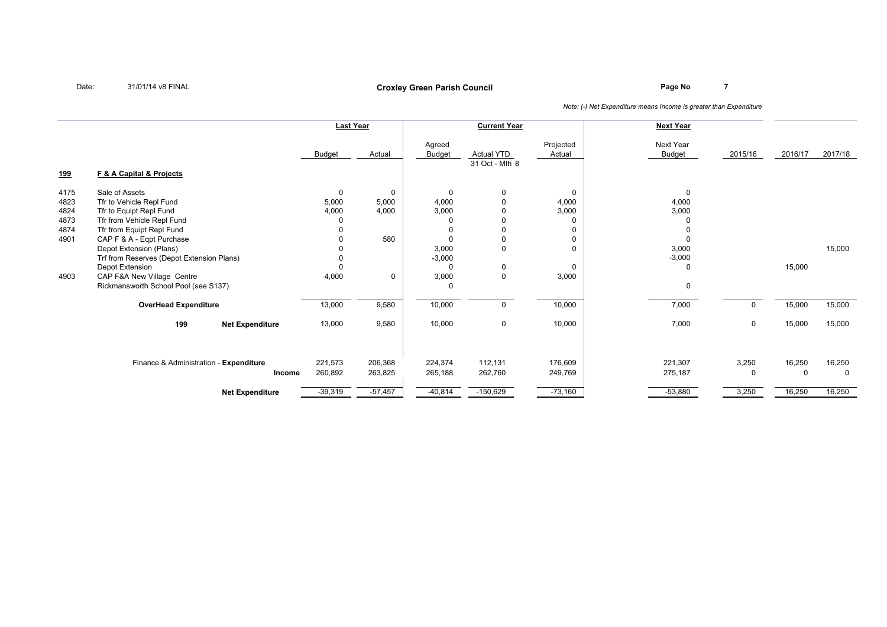## **Page No <sup>7</sup> Croxley Green Parish Council**

|                                      |                                                                                                                                  | <b>Last Year</b>              |                               |                                                    | <b>Current Year</b>                 |                                  | <b>Next Year</b>               |                                                    |
|--------------------------------------|----------------------------------------------------------------------------------------------------------------------------------|-------------------------------|-------------------------------|----------------------------------------------------|-------------------------------------|----------------------------------|--------------------------------|----------------------------------------------------|
|                                      |                                                                                                                                  | <b>Budget</b>                 | Actual                        | Agreed<br><b>Budget</b>                            | <b>Actual YTD</b><br>31 Oct - Mth 8 | Projected<br>Actual              | Next Year<br>2015/16<br>Budget | 2017/18<br>2016/17                                 |
| <u>199</u>                           | <b>F &amp; A Capital &amp; Projects</b>                                                                                          |                               |                               |                                                    |                                     |                                  |                                |                                                    |
| 4175<br>4823<br>4824<br>4873<br>4874 | Sale of Assets<br>Tfr to Vehicle Repl Fund<br>Tfr to Equipt Repl Fund<br>Tfr from Vehicle Repl Fund<br>Tfr from Equipt Repl Fund | $\mathbf 0$<br>5,000<br>4,000 | $\mathbf 0$<br>5,000<br>4,000 | $\Omega$<br>4,000<br>3,000<br>$\Omega$<br>$\Omega$ | 0<br>$\Omega$                       | $\Omega$<br>4,000<br>3,000       | 0<br>4,000<br>3,000            |                                                    |
| 4901                                 | CAP F & A - Eqpt Purchase<br>Depot Extension (Plans)<br>Trf from Reserves (Depot Extension Plans)<br>Depot Extension             |                               | 580                           | $\Omega$<br>3,000<br>$-3,000$<br>$\Omega$          | $\Omega$<br>$\Omega$<br>0           | $\Omega$<br>$\Omega$<br>$\Omega$ | 3,000<br>$-3,000$<br>$\Omega$  | 15,000<br>15,000                                   |
| 4903                                 | CAP F&A New Village Centre<br>Rickmansworth School Pool (see S137)                                                               | 4,000                         | 0                             | 3,000<br>$\Omega$                                  | $\Omega$                            | 3,000                            | 0                              |                                                    |
|                                      | <b>OverHead Expenditure</b>                                                                                                      | 13,000                        | 9,580                         | 10,000                                             | 0                                   | 10,000                           | 7,000                          | 15,000<br>15,000<br>$\Omega$                       |
|                                      | 199<br><b>Net Expenditure</b>                                                                                                    | 13,000                        | 9,580                         | 10,000                                             | 0                                   | 10,000                           | 7,000                          | 15,000<br>15,000<br>$\mathbf 0$                    |
|                                      | Finance & Administration - Expenditure<br>Income                                                                                 | 221,573<br>260,892            | 206,368<br>263,825            | 224,374<br>265,188                                 | 112,131<br>262,760                  | 176,609<br>249,769               | 221,307<br>275,187             | 16,250<br>16,250<br>3,250<br>$\mathbf 0$<br>0<br>0 |
|                                      | <b>Net Expenditure</b>                                                                                                           | $-39,319$                     | $-57,457$                     | $-40,814$                                          | $-150,629$                          | $-73,160$                        | $-53,880$                      | 3,250<br>16,250<br>16,250                          |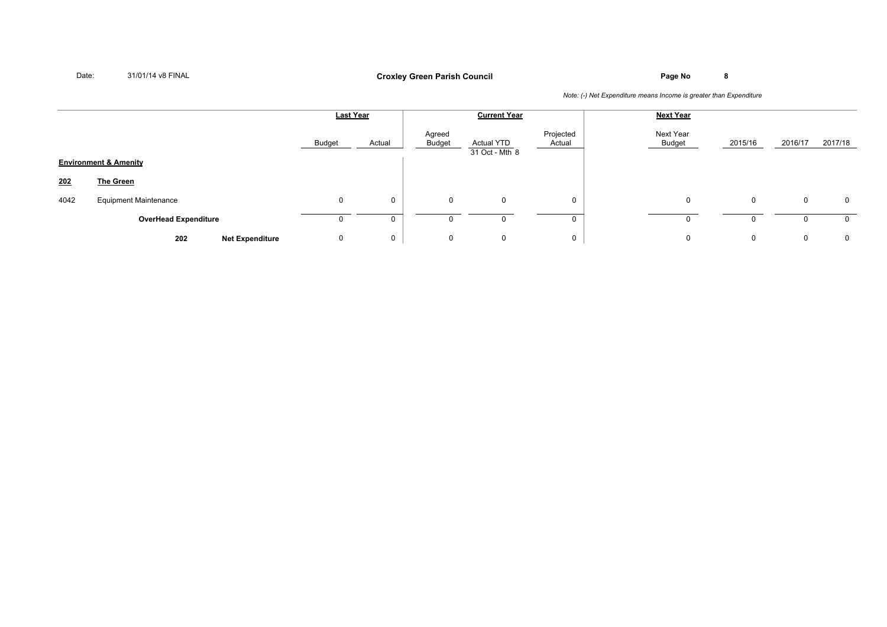## **Page No <sup>8</sup> Croxley Green Parish Council**

|      |                                  |               | <b>Current Year</b><br><b>Last Year</b> |                  |                              | <b>Next Year</b>    |                     |              |         |          |
|------|----------------------------------|---------------|-----------------------------------------|------------------|------------------------------|---------------------|---------------------|--------------|---------|----------|
|      |                                  | <b>Budget</b> | Actual                                  | Agreed<br>Budget | Actual YTD<br>31 Oct - Mth 8 | Projected<br>Actual | Next Year<br>Budget | 2015/16      | 2016/17 | 2017/18  |
|      | <b>Environment &amp; Amenity</b> |               |                                         |                  |                              |                     |                     |              |         |          |
| 202  | <b>The Green</b>                 |               |                                         |                  |                              |                     |                     |              |         |          |
| 4042 | <b>Equipment Maintenance</b>     | $\mathbf 0$   | 0                                       | $\mathbf 0$      | 0                            | $\mathbf{0}$        | 0                   | $\mathbf{0}$ | 0       | 0        |
|      | <b>OverHead Expenditure</b>      |               | $\mathbf 0$                             |                  | 0                            |                     |                     | 0            |         | 0        |
|      | 202<br><b>Net Expenditure</b>    | 0             | 0                                       | $\mathbf 0$      | 0                            | 0                   | $\Omega$            | $\mathbf 0$  | 0       | $\Omega$ |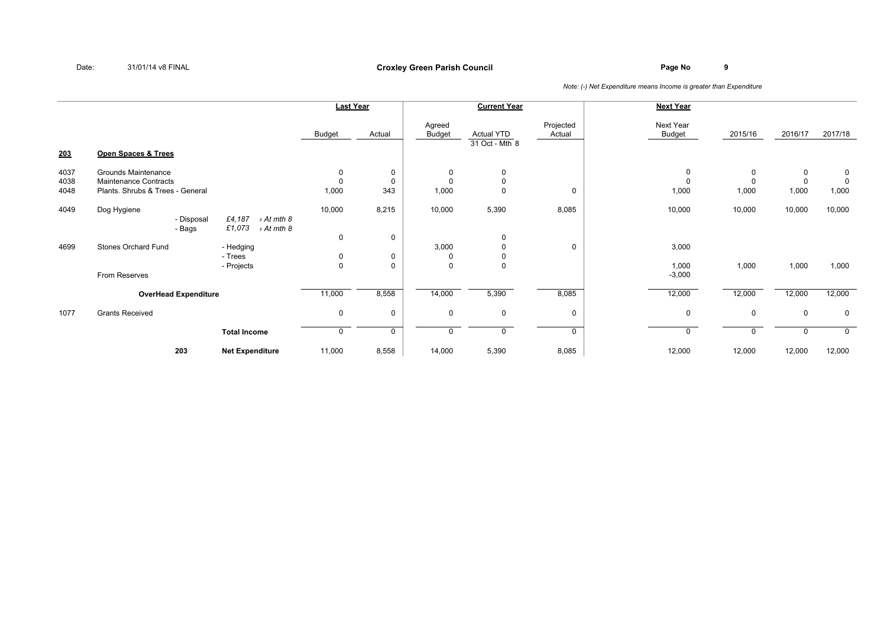### **Page No <sup>9</sup> Croxley Green Parish Council**

|                      |                                                                                  |                                              |                                 | <b>Last Year</b>   |                         | <b>Current Year</b>                 |                     | <b>Next Year</b>           |                                  |                                  |                                     |
|----------------------|----------------------------------------------------------------------------------|----------------------------------------------|---------------------------------|--------------------|-------------------------|-------------------------------------|---------------------|----------------------------|----------------------------------|----------------------------------|-------------------------------------|
|                      |                                                                                  |                                              | Budget                          | Actual             | Agreed<br><b>Budget</b> | <b>Actual YTD</b><br>31 Oct - Mth 8 | Projected<br>Actual | Next Year<br><b>Budget</b> | 2015/16                          | 2016/17                          | 2017/18                             |
| 203                  | Open Spaces & Trees                                                              |                                              |                                 |                    |                         |                                     |                     |                            |                                  |                                  |                                     |
| 4037<br>4038<br>4048 | Grounds Maintenance<br>Maintenance Contracts<br>Plants. Shrubs & Trees - General |                                              | 0<br>0<br>1,000                 | 0<br>0<br>343      | $\Omega$<br>1,000       | $\mathbf 0$<br>0<br>$\mathbf 0$     | $\mathbf 0$         | 1,000                      | $\mathbf 0$<br>$\Omega$<br>1,000 | $\mathbf 0$<br>$\Omega$<br>1,000 | $\mathbf 0$<br>$\mathbf 0$<br>1,000 |
| 4049                 | Dog Hygiene<br>- Disposal<br>- Bags                                              | £4,187<br>> At mth 8<br>£1,073<br>> At mth 8 | 10,000                          | 8,215              | 10,000                  | 5,390                               | 8,085               | 10,000                     | 10,000                           | 10,000                           | 10,000                              |
| 4699                 | Stones Orchard Fund                                                              | - Hedging<br>- Trees<br>- Projects           | $\mathbf 0$<br>0<br>$\mathsf 0$ | 0<br>0<br>$\Omega$ | 3,000<br>$\Omega$       | $\mathbf 0$<br>0<br>0<br>$\Omega$   | $\mathbf 0$         | 3,000<br>1,000             | 1,000                            | 1,000                            | 1,000                               |
|                      | From Reserves                                                                    |                                              |                                 |                    |                         |                                     |                     | $-3,000$                   |                                  |                                  |                                     |
|                      | <b>OverHead Expenditure</b>                                                      |                                              | 11,000                          | 8,558              | 14,000                  | 5,390                               | 8,085               | 12,000                     | 12,000                           | 12,000                           | 12,000                              |
| 1077                 | <b>Grants Received</b>                                                           |                                              | 0                               | 0                  | $\mathbf 0$             | 0                                   | 0                   | $\mathbf 0$                | $\mathbf 0$                      | $\mathbf 0$                      | $\mathbf 0$                         |
|                      |                                                                                  | <b>Total Income</b>                          | 0                               | 0                  |                         | $\mathbf 0$                         | $\mathbf 0$         |                            | $\Omega$                         |                                  | $\mathbf 0$                         |
|                      | 203                                                                              | <b>Net Expenditure</b>                       | 11,000                          | 8,558              | 14,000                  | 5,390                               | 8,085               | 12,000                     | 12,000                           | 12,000                           | 12,000                              |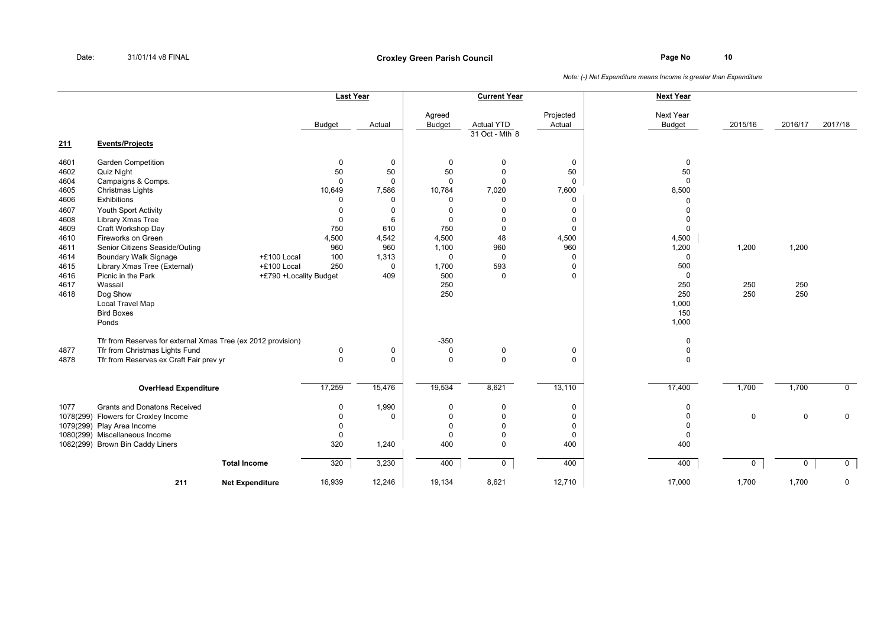|              |                                                              |                        |               | <b>Last Year</b> |                         | <b>Current Year</b>                 |                     | <b>Next Year</b>           |             |             |                |
|--------------|--------------------------------------------------------------|------------------------|---------------|------------------|-------------------------|-------------------------------------|---------------------|----------------------------|-------------|-------------|----------------|
| 211          | <b>Events/Projects</b>                                       |                        | <b>Budget</b> | Actual           | Agreed<br><b>Budget</b> | <b>Actual YTD</b><br>31 Oct - Mth 8 | Projected<br>Actual | Next Year<br><b>Budget</b> | 2015/16     | 2016/17     | 2017/18        |
|              |                                                              |                        |               |                  |                         |                                     |                     |                            |             |             |                |
| 4601<br>4602 | Garden Competition<br>Quiz Night                             |                        | 0<br>50       | 0<br>50          | $\mathbf 0$<br>50       | 0<br>$\mathbf 0$                    | $\pmb{0}$<br>50     | $\mathbf 0$<br>50          |             |             |                |
| 4604         | Campaigns & Comps.                                           |                        | $\Omega$      | $\mathbf 0$      | $\mathbf 0$             | $\Omega$                            | $\mathbf 0$         | $\Omega$                   |             |             |                |
| 4605         | Christmas Lights                                             |                        | 10,649        | 7,586            | 10,784                  | 7,020                               | 7,600               | 8,500                      |             |             |                |
| 4606         | Exhibitions                                                  |                        | $\Omega$      | $\mathbf 0$      | $\mathbf 0$             | $\mathbf 0$                         | 0                   | $\Omega$                   |             |             |                |
| 4607         | Youth Sport Activity                                         |                        | $\Omega$      | $\Omega$         | $\mathbf 0$             | 0                                   | $\mathbf 0$         | $\Omega$                   |             |             |                |
| 4608         | Library Xmas Tree                                            |                        | $\Omega$      | 6                | $\mathbf 0$             | 0                                   | $\mathbf 0$         | $\Omega$                   |             |             |                |
| 4609         | Craft Workshop Day                                           |                        | 750           | 610              | 750                     | $\mathsf 0$                         | $\Omega$            | $\Omega$                   |             |             |                |
| 4610         | Fireworks on Green                                           |                        | 4,500         | 4,542            | 4,500                   | 48                                  | 4,500               | 4,500                      |             |             |                |
| 4611         | Senior Citizens Seaside/Outing                               |                        | 960           | 960              | 1,100                   | 960                                 | 960                 | 1,200                      | 1,200       | 1,200       |                |
| 4614         | <b>Boundary Walk Signage</b>                                 | +£100 Local            | 100           | 1,313            | $\mathbf 0$             | $\mathbf 0$                         | $\mathbf 0$         | $\mathbf 0$                |             |             |                |
| 4615         | Library Xmas Tree (External)                                 | +£100 Local            | 250           | $\mathbf 0$      | 1,700                   | 593                                 | $\mathbf 0$         | 500                        |             |             |                |
| 4616         | Picnic in the Park                                           | +£790 +Locality Budget |               | 409              | 500                     | $\Omega$                            | $\Omega$            | $\Omega$                   |             |             |                |
| 4617         | Wassail                                                      |                        |               |                  | 250                     |                                     |                     | 250<br>250                 | 250<br>250  | 250         |                |
| 4618         | Dog Show<br><b>Local Travel Map</b>                          |                        |               |                  | 250                     |                                     |                     | 1,000                      |             | 250         |                |
|              | <b>Bird Boxes</b>                                            |                        |               |                  |                         |                                     |                     | 150                        |             |             |                |
|              | Ponds                                                        |                        |               |                  |                         |                                     |                     | 1,000                      |             |             |                |
|              | Tfr from Reserves for external Xmas Tree (ex 2012 provision) |                        |               |                  | $-350$                  |                                     |                     | $\mathbf 0$                |             |             |                |
| 4877         | Tfr from Christmas Lights Fund                               |                        | 0             | 0                | $\mathbf 0$             | $\pmb{0}$                           | $\mathsf 0$         | $\mathbf 0$                |             |             |                |
| 4878         | Tfr from Reserves ex Craft Fair prev yr                      |                        | $\mathbf 0$   | $\mathbf 0$      | $\mathbf 0$             | $\Omega$                            | $\mathbf 0$         | $\Omega$                   |             |             |                |
|              | <b>OverHead Expenditure</b>                                  |                        | 17,259        | 15,476           | 19,534                  | 8,621                               | 13,110              | 17,400                     | 1,700       | 1,700       | $\mathbf 0$    |
| 1077         | Grants and Donatons Received                                 |                        | 0             | 1,990            | $\mathbf 0$             | $\mathsf 0$                         | $\mathbf 0$         | $\Omega$                   |             |             |                |
|              | 1078(299) Flowers for Croxley Income                         |                        | $\mathbf 0$   | $\Omega$         | $\mathbf 0$             | $\mathbf 0$                         | $\mathbf 0$         | $\Omega$                   | $\mathbf 0$ | $\mathbf 0$ | $\mathbf 0$    |
|              | 1079(299) Play Area Income                                   |                        | $\Omega$      |                  | $\mathbf 0$             | $\mathbf 0$                         | $\mathbf 0$         | $\Omega$                   |             |             |                |
|              | 1080(299) Miscellaneous Income                               |                        | $\mathbf 0$   |                  | $\mathbf 0$             | $\mathbf 0$                         | $\mathbf 0$         | $\mathbf 0$                |             |             |                |
|              | 1082(299) Brown Bin Caddy Liners                             |                        | 320           | 1,240            | 400                     | $\mathbf 0$                         | 400                 | 400                        |             |             |                |
|              |                                                              | <b>Total Income</b>    | 320           | 3,230            | 400                     | 0                                   | 400                 | 400                        | 0           | 0           | $\overline{0}$ |
|              | 211                                                          | <b>Net Expenditure</b> | 16,939        | 12,246           | 19,134                  | 8,621                               | 12,710              | 17,000                     | 1,700       | 1,700       | $\mathsf 0$    |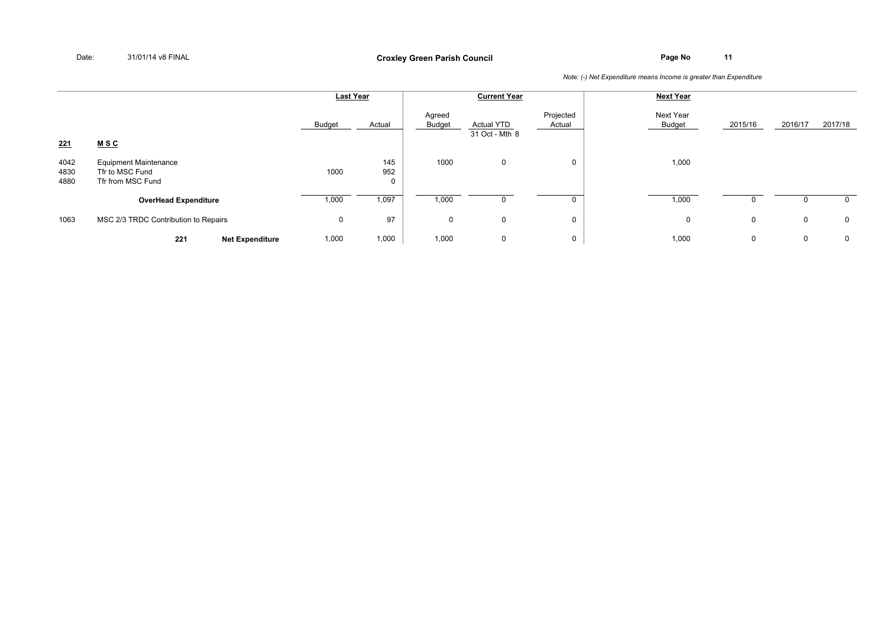|                      |                                                                      | <b>Last Year</b> |            |                  | <b>Current Year</b>                 |                     | <b>Next Year</b>    |         |             |             |
|----------------------|----------------------------------------------------------------------|------------------|------------|------------------|-------------------------------------|---------------------|---------------------|---------|-------------|-------------|
| 221                  | <u>MSC</u>                                                           | Budget           | Actual     | Agreed<br>Budget | <b>Actual YTD</b><br>31 Oct - Mth 8 | Projected<br>Actual | Next Year<br>Budget | 2015/16 | 2016/17     | 2017/18     |
| 4042<br>4830<br>4880 | <b>Equipment Maintenance</b><br>Tfr to MSC Fund<br>Tfr from MSC Fund | 1000             | 145<br>952 | 1000             | $\mathbf 0$                         | 0                   | 1,000               |         |             |             |
|                      | <b>OverHead Expenditure</b>                                          | 1,000            | 1,097      | 1,000            |                                     |                     | 1,000               |         |             | 0           |
| 1063                 | MSC 2/3 TRDC Contribution to Repairs                                 | 0                | 97         | $\mathbf{0}$     | $\mathbf 0$                         | 0                   | 0                   | 0       | $\mathbf 0$ | $\mathbf 0$ |
|                      | 221<br><b>Net Expenditure</b>                                        | 1,000            | 1,000      | 1,000            | $\mathbf 0$                         | 0                   | 1,000               | 0       | 0           | $\mathbf 0$ |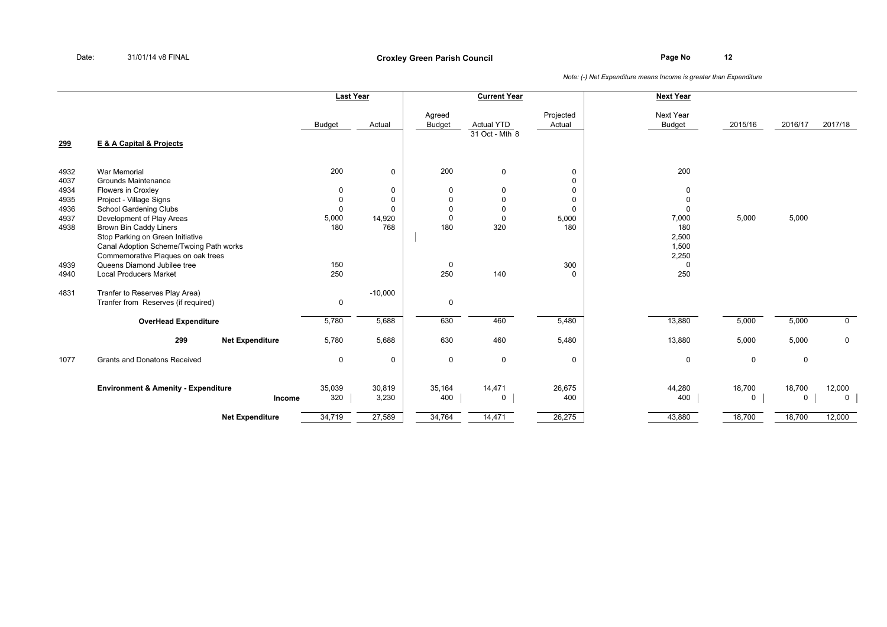|              |                                                                   | <b>Last Year</b> |             |                         | <b>Current Year</b>                              |                     | <b>Next Year</b>           |             |             |             |
|--------------|-------------------------------------------------------------------|------------------|-------------|-------------------------|--------------------------------------------------|---------------------|----------------------------|-------------|-------------|-------------|
| 299          | E & A Capital & Projects                                          | Budget           | Actual      | Agreed<br><b>Budget</b> | <b>Actual YTD</b><br>$\overline{31}$ Oct - Mth 8 | Projected<br>Actual | Next Year<br><b>Budget</b> | 2015/16     | 2016/17     | 2017/18     |
|              |                                                                   |                  |             |                         |                                                  |                     |                            |             |             |             |
| 4932<br>4037 | <b>War Memorial</b><br>Grounds Maintenance                        | 200              | $\mathbf 0$ | 200                     | $\mathbf 0$                                      | 0<br>$\mathbf 0$    | 200                        |             |             |             |
| 4934         | <b>Flowers in Croxley</b>                                         | $\Omega$         | 0           | $\mathbf 0$             | 0                                                | $\mathbf 0$         | $\mathbf 0$                |             |             |             |
| 4935         | Project - Village Signs                                           | $\mathbf 0$      | 0           | $\mathbf 0$             | 0                                                | $\mathbf 0$         | $\mathbf 0$                |             |             |             |
| 4936         | School Gardening Clubs                                            | $\mathbf 0$      | 0           | $\mathbf 0$             | $\mathbf 0$                                      | $\mathbf 0$         | $\Omega$                   |             |             |             |
| 4937         | Development of Play Areas                                         | 5,000            | 14,920      | $\Omega$                | $\mathbf 0$                                      | 5,000               | 7,000                      | 5,000       | 5,000       |             |
| 4938         | <b>Brown Bin Caddy Liners</b>                                     | 180              | 768         | 180                     | 320                                              | 180                 | 180                        |             |             |             |
|              | Stop Parking on Green Initiative                                  |                  |             |                         |                                                  |                     | 2,500                      |             |             |             |
|              | Canal Adoption Scheme/Twoing Path works                           |                  |             |                         |                                                  |                     | 1,500                      |             |             |             |
| 4939         | Commemorative Plagues on oak trees<br>Queens Diamond Jubilee tree | 150              |             |                         |                                                  | 300                 | 2,250<br>$\Omega$          |             |             |             |
| 4940         | <b>Local Producers Market</b>                                     | 250              |             | $\mathbf 0$<br>250      | 140                                              | $\mathbf 0$         | 250                        |             |             |             |
|              |                                                                   |                  |             |                         |                                                  |                     |                            |             |             |             |
| 4831         | Tranfer to Reserves Play Area)                                    |                  | $-10,000$   |                         |                                                  |                     |                            |             |             |             |
|              | Tranfer from Reserves (if required)                               | 0                |             | $\mathbf 0$             |                                                  |                     |                            |             |             |             |
|              | <b>OverHead Expenditure</b>                                       | 5,780            | 5,688       | 630                     | 460                                              | 5,480               | 13,880                     | 5,000       | 5,000       | $\mathbf 0$ |
|              | 299<br><b>Net Expenditure</b>                                     | 5,780            | 5,688       | 630                     | 460                                              | 5,480               | 13,880                     | 5,000       | 5,000       | $\mathbf 0$ |
| 1077         | <b>Grants and Donatons Received</b>                               | 0                | 0           | $\mathbf 0$             | $\mathbf 0$                                      | $\mathbf 0$         | $\mathbf 0$                | $\mathbf 0$ | $\mathbf 0$ |             |
|              |                                                                   |                  |             |                         |                                                  |                     |                            |             |             |             |
|              | <b>Environment &amp; Amenity - Expenditure</b>                    | 35,039           | 30,819      | 35,164                  | 14,471                                           | 26,675              | 44,280                     | 18,700      | 18,700      | 12,000      |
|              | Income                                                            | 320              | 3,230       | 400                     | $\mathsf{O}$                                     | 400                 | 400                        | $\mathbf 0$ | 0           | $\mathbf 0$ |
|              | <b>Net Expenditure</b>                                            | 34,719           | 27,589      | 34,764                  | 14,471                                           | 26,275              | 43,880                     | 18,700      | 18,700      | 12,000      |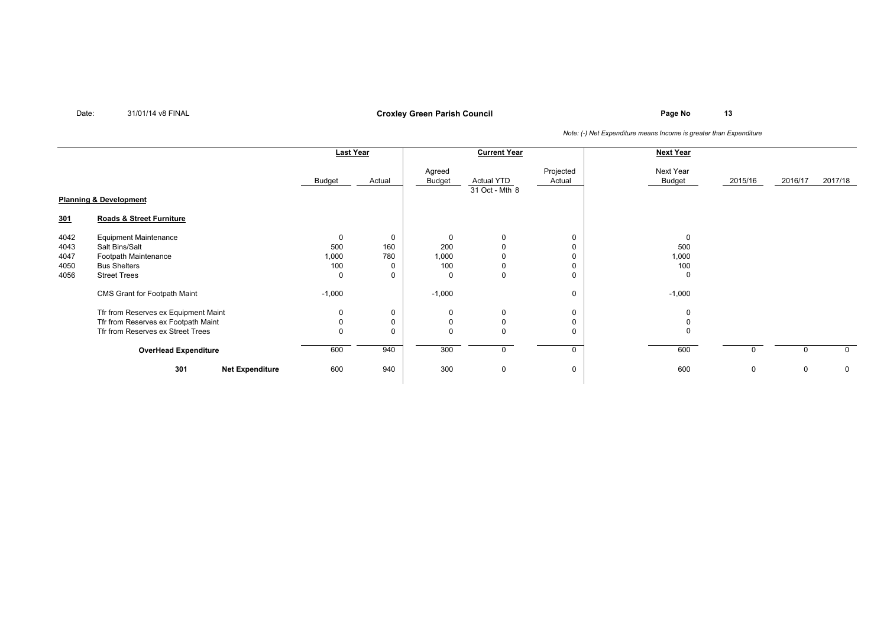## **Page No <sup>13</sup> Croxley Green Parish Council**

|                                      |                                                                                                                      | Last Year                                         |                           | <b>Current Year</b>             |                                             |                                           | <b>Next Year</b>                     |         |         |             |
|--------------------------------------|----------------------------------------------------------------------------------------------------------------------|---------------------------------------------------|---------------------------|---------------------------------|---------------------------------------------|-------------------------------------------|--------------------------------------|---------|---------|-------------|
|                                      |                                                                                                                      | <b>Budget</b>                                     | Actual                    | Agreed<br><b>Budget</b>         | <b>Actual YTD</b><br>31 Oct - Mth 8         | Projected<br>Actual                       | Next Year<br>Budget                  | 2015/16 | 2016/17 | 2017/18     |
| <b>Planning &amp; Development</b>    |                                                                                                                      |                                                   |                           |                                 |                                             |                                           |                                      |         |         |             |
| <u>301</u>                           | <b>Roads &amp; Street Furniture</b>                                                                                  |                                                   |                           |                                 |                                             |                                           |                                      |         |         |             |
| 4042<br>4043<br>4047<br>4050<br>4056 | <b>Equipment Maintenance</b><br>Salt Bins/Salt<br>Footpath Maintenance<br><b>Bus Shelters</b><br><b>Street Trees</b> | $\mathbf 0$<br>500<br>1,000<br>100<br>$\mathbf 0$ | $\mathbf 0$<br>160<br>780 | $\Omega$<br>200<br>1,000<br>100 | 0<br>$\Omega$<br>$\mathbf 0$<br>$\mathbf 0$ | $\mathbf 0$<br>$\mathbf 0$<br>$\mathbf 0$ | 0<br>500<br>1,000<br>100<br>$\Omega$ |         |         |             |
|                                      | CMS Grant for Footpath Maint                                                                                         | $-1,000$                                          |                           | $-1,000$                        |                                             | 0                                         | $-1,000$                             |         |         |             |
|                                      | Tfr from Reserves ex Equipment Maint<br>Tfr from Reserves ex Footpath Maint<br>Tfr from Reserves ex Street Trees     | 0<br>$\mathbf 0$<br>$\mathbf 0$                   | 0<br>$\Omega$             | 0<br>$\Omega$                   | 0<br>0<br>$\mathbf 0$                       | 0<br>$\mathbf 0$<br>$\mathbf 0$           | 0<br>$\Omega$                        |         |         |             |
|                                      | <b>OverHead Expenditure</b>                                                                                          | 600                                               | 940                       | 300                             | 0                                           | $\Omega$                                  | 600                                  |         |         |             |
|                                      | 301<br><b>Net Expenditure</b>                                                                                        | 600                                               | 940                       | 300                             | 0                                           | 0                                         | 600                                  | 0       | 0       | $\mathbf 0$ |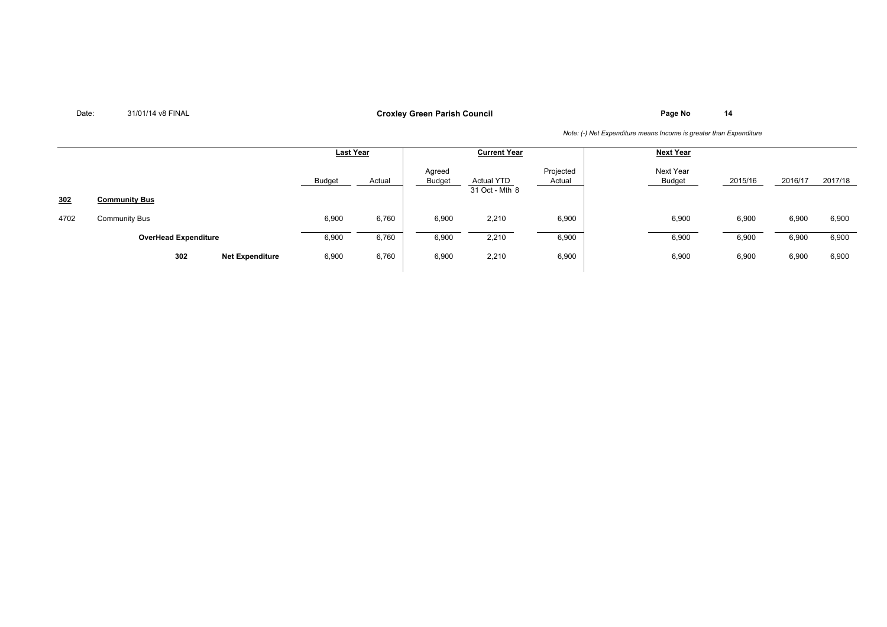## **Page No <sup>14</sup> Croxley Green Parish Council**

|      |                             |                        | <b>Last Year</b> |        | <b>Current Year</b>     |                                     |                     | <b>Next Year</b>    |         |         |         |
|------|-----------------------------|------------------------|------------------|--------|-------------------------|-------------------------------------|---------------------|---------------------|---------|---------|---------|
|      |                             |                        | Budget           | Actual | Agreed<br><b>Budget</b> | <b>Actual YTD</b><br>31 Oct - Mth 8 | Projected<br>Actual | Next Year<br>Budget | 2015/16 | 2016/17 | 2017/18 |
| 302  | <b>Community Bus</b>        |                        |                  |        |                         |                                     |                     |                     |         |         |         |
| 4702 | <b>Community Bus</b>        |                        | 6,900            | 6,760  | 6,900                   | 2,210                               | 6,900               | 6,900               | 6,900   | 6,900   | 6,900   |
|      | <b>OverHead Expenditure</b> |                        | 6,900            | 6,760  | 6,900                   | 2,210                               | 6,900               | 6,900               | 6,900   | 6,900   | 6,900   |
|      | 302                         | <b>Net Expenditure</b> | 6,900            | 6,760  | 6,900                   | 2,210                               | 6,900               | 6,900               | 6,900   | 6,900   | 6,900   |